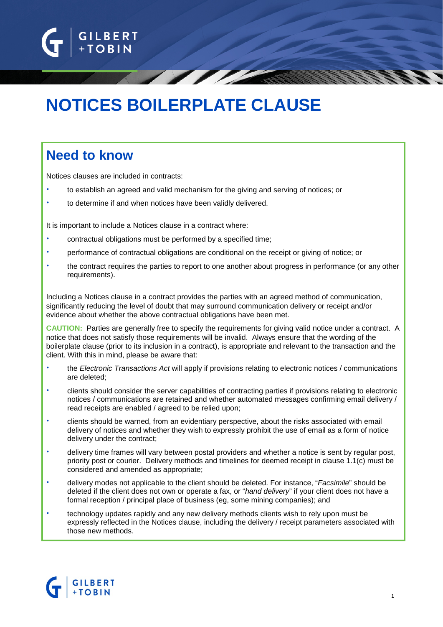

# **NOTICES BOILERPLATE CLAUSE**

# **Need to know**

Notices clauses are included in contracts:

- to establish an agreed and valid mechanism for the giving and serving of notices; or
- to determine if and when notices have been validly delivered.

It is important to include a Notices clause in a contract where:

- contractual obligations must be performed by a specified time;
- performance of contractual obligations are conditional on the receipt or giving of notice; or
- the contract requires the parties to report to one another about progress in performance (or any other requirements).

Including a Notices clause in a contract provides the parties with an agreed method of communication, significantly reducing the level of doubt that may surround communication delivery or receipt and/or evidence about whether the above contractual obligations have been met.

**CAUTION:** Parties are generally free to specify the requirements for giving valid notice under a contract. A notice that does not satisfy those requirements will be invalid. Always ensure that the wording of the boilerplate clause (prior to its inclusion in a contract), is appropriate and relevant to the transaction and the client. With this in mind, please be aware that:

- the *Electronic Transactions Act* will apply if provisions relating to electronic notices / communications are deleted;
- clients should consider the server capabilities of contracting parties if provisions relating to electronic notices / communications are retained and whether automated messages confirming email delivery / read receipts are enabled / agreed to be relied upon;
- clients should be warned, from an evidentiary perspective, about the risks associated with email delivery of notices and whether they wish to expressly prohibit the use of email as a form of notice delivery under the contract;
- delivery time frames will vary between postal providers and whether a notice is sent by regular post, priority post or courier. Delivery methods and timelines for deemed receipt in clause 1.1(c) must be considered and amended as appropriate;
- delivery modes not applicable to the client should be deleted. For instance, "*Facsimile*" should be deleted if the client does not own or operate a fax, or "*hand delivery*" if your client does not have a formal reception / principal place of business (eg, some mining companies); and
- technology updates rapidly and any new delivery methods clients wish to rely upon must be expressly reflected in the Notices clause, including the delivery / receipt parameters associated with those new methods.

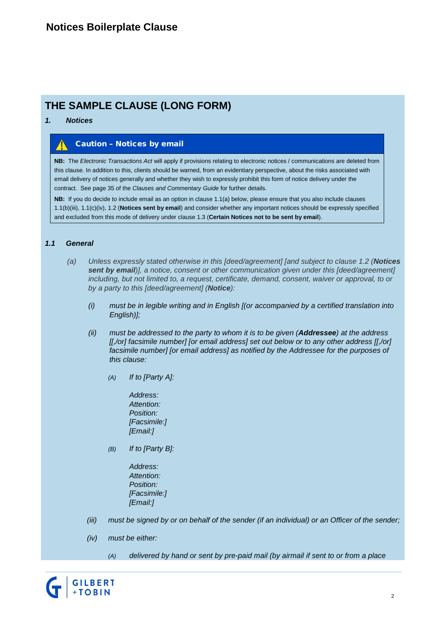# **THE SAMPLE CLAUSE (LONG FORM)**

#### *1. Notices*

### Caution – Notices by email

**NB:** The *Electronic Transactions Act* will apply if provisions relating to electronic notices / communications are deleted from this clause. In addition to this, clients should be warned, from an evidentiary perspective, about the risks associated with email delivery of notices generally and whether they wish to expressly prohibit this form of notice delivery under the contract. See page 35 of the *Clauses and Commentary Guide* for further details.

**NB:** If you do decide to include email as an option in clause 1.1(a) below, please ensure that you also include clauses 1.1(b)(iii), 1.1(c)(iv), 1.2 (**Notices sent by email**) and consider whether any important notices should be expressly specified and excluded from this mode of delivery under clause 1.3 (**Certain Notices not to be sent by email**).

### *1.1 General*

- *(a) Unless expressly stated otherwise in this [deed/agreement] [and subject to clause 1.2 (Notices sent by email)], a notice, consent or other communication given under this [deed/agreement] including, but not limited to, a request, certificate, demand, consent, waiver or approval, to or by a party to this [deed/agreement] (Notice):*
	- *(i) must be in legible writing and in English [(or accompanied by a certified translation into English)];*
	- *(ii) must be addressed to the party to whom it is to be given (Addressee) at the address [[,/or] facsimile number] [or email address] set out below or to any other address [[,/or] facsimile number] [or email address] as notified by the Addressee for the purposes of this clause:*
		- *(A) If to [Party A]:*
			- *Address: Attention: Position: [Facsimile:] [Email:]*
		- *(B) If to [Party B]:*
			- *Address: Attention: Position: [Facsimile:] [Email:]*
	- *(iii) must be signed by or on behalf of the sender (if an individual) or an Officer of the sender;*
	- *(iv) must be either:*
		- *(A) delivered by hand or sent by pre-paid mail (by airmail if sent to or from a place*

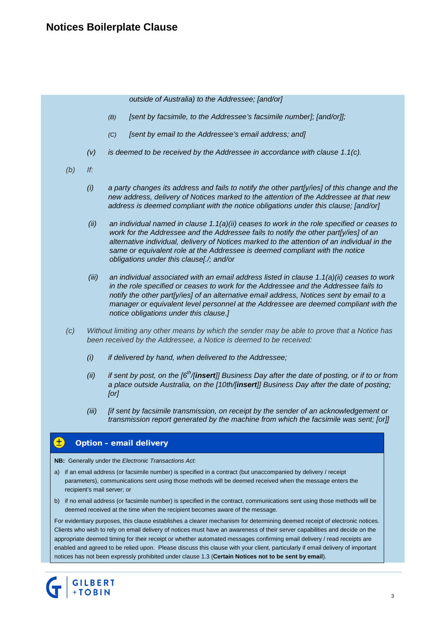*outside of Australia) to the Addressee; [and/or]*

- *(B) [sent by facsimile, to the Addressee's facsimile number]; [and/or]];*
- *(C) [sent by email to the Addressee's email address; and]*
- *(v) is deemed to be received by the Addressee in accordance with clause 1.1(c).*
- *(b) If:*
	- *(i) a party changes its address and fails to notify the other part[y/ies] of this change and the new address, delivery of Notices marked to the attention of the Addressee at that new address is deemed compliant with the notice obligations under this clause; [and/or]*
	- *(ii) an individual named in clause 1.1(a)(ii) ceases to work in the role specified or ceases to work for the Addressee and the Addressee fails to notify the other part[y/ies] of an alternative individual, delivery of Notices marked to the attention of an individual in the same or equivalent role at the Addressee is deemed compliant with the notice obligations under this clause[./; and/or*
	- *(iii) an individual associated with an email address listed in clause 1.1(a)(ii) ceases to work in the role specified or ceases to work for the Addressee and the Addressee fails to notify the other part[y/ies] of an alternative email address, Notices sent by email to a manager or equivalent level personnel at the Addressee are deemed compliant with the notice obligations under this clause.]*
- *(c) Without limiting any other means by which the sender may be able to prove that a Notice has been received by the Addressee, a Notice is deemed to be received:*
	- *(i) if delivered by hand, when delivered to the Addressee;*
	- *(ii) if sent by post, on the [6th/[insert]] Business Day after the date of posting, or if to or from a place outside Australia, on the [10th/[insert]] Business Day after the date of posting; [or]*
	- *(iii) [if sent by facsimile transmission, on receipt by the sender of an acknowledgement or transmission report generated by the machine from which the facsimile was sent; [or]]*

#### Ŧ Option – email delivery

**NB:** Generally under the *Electronic Transactions Act*:

- a) if an email address (or facsimile number) is specified in a contract (but unaccompanied by delivery / receipt parameters), communications sent using those methods will be deemed received when the message enters the recipient's mail server; or
- b) if no email address (or facsimile number) is specified in the contract, communications sent using those methods will be deemed received at the time when the recipient becomes aware of the message.

For evidentiary purposes, this clause establishes a clearer mechanism for determining deemed receipt of electronic notices. Clients who wish to rely on email delivery of notices must have an awareness of their server capabilities and decide on the appropriate deemed timing for their receipt or whether automated messages confirming email delivery / read receipts are enabled and agreed to be relied upon. Please discuss this clause with your client, particularly if email delivery of important notices has not been expressly prohibited under clause 1.3 (**Certain Notices not to be sent by email**).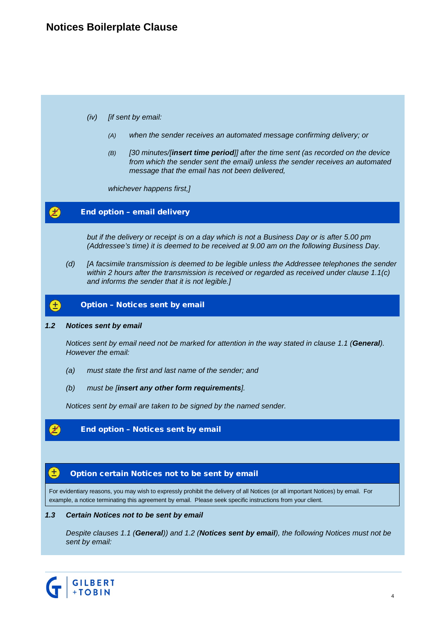### *(iv) [if sent by email:*

- *(A) when the sender receives an automated message confirming delivery; or*
- *(B) [30 minutes/[insert time period]] after the time sent (as recorded on the device from which the sender sent the email) unless the sender receives an automated message that the email has not been delivered,*

*whichever happens first,]*

#### Z. End option – email delivery

*but if the delivery or receipt is on a day which is not a Business Day or is after 5.00 pm (Addressee's time) it is deemed to be received at 9.00 am on the following Business Day.*

*(d) [A facsimile transmission is deemed to be legible unless the Addressee telephones the sender within 2 hours after the transmission is received or regarded as received under clause 1.1(c) and informs the sender that it is not legible.]*

#### Ð Option – Notices sent by email

### *1.2 Notices sent by email*

*Notices sent by email need not be marked for attention in the way stated in clause 1.1 (General). However the email:*

- *(a) must state the first and last name of the sender; and*
- *(b) must be [insert any other form requirements].*

*Notices sent by email are taken to be signed by the named sender.*

### End option – Notices sent by email

#### Ŧ, Option certain Notices not to be sent by email

For evidentiary reasons, you may wish to expressly prohibit the delivery of all Notices (or all important Notices) by email. For example, a notice terminating this agreement by email. Please seek specific instructions from your client.

#### *1.3 Certain Notices not to be sent by email*

*Despite clauses 1.1 (General)) and 1.2 (Notices sent by email), the following Notices must not be sent by email:*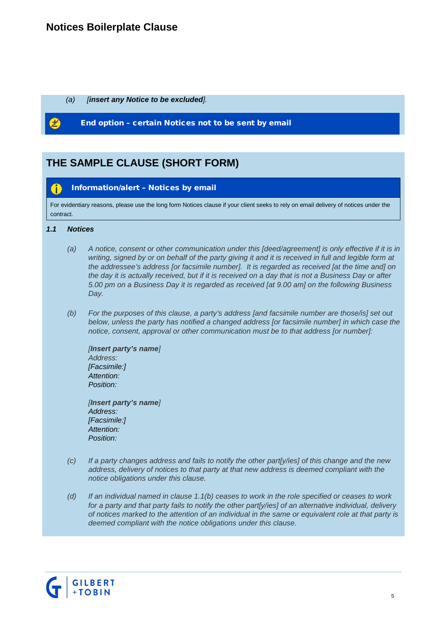## **Notices Boilerplate Clause**

*(a) [insert any Notice to be excluded].*

End option – certain Notices not to be sent by email

# **THE SAMPLE CLAUSE (SHORT FORM)**

#### Œ Information/alert – Notices by email

For evidentiary reasons, please use the long form Notices clause if your client seeks to rely on email delivery of notices under the contract.

### *1.1 Notices*

- *(a) A notice, consent or other communication under this [deed/agreement] is only effective if it is in*  writing, signed by or on behalf of the party giving it and it is received in full and legible form at *the addressee's address [or facsimile number]. It is regarded as received [at the time and] on the day it is actually received, but if it is received on a day that is not a Business Day or after 5.00 pm on a Business Day it is regarded as received [at 9.00 am] on the following Business Day.*
- *(b) For the purposes of this clause, a party's address [and facsimile number are those/is] set out below, unless the party has notified a changed address [or facsimile number] in which case the notice, consent, approval or other communication must be to that address [or number]:*

*[Insert party's name] Address: [Facsimile:] Attention: Position:*

*[Insert party's name] Address: [Facsimile:] Attention: Position:*

- *(c) If a party changes address and fails to notify the other part[y/ies] of this change and the new address, delivery of notices to that party at that new address is deemed compliant with the notice obligations under this clause.*
- *(d) If an individual named in clause 1.1(b) ceases to work in the role specified or ceases to work for a party and that party fails to notify the other part[y/ies] of an alternative individual, delivery of notices marked to the attention of an individual in the same or equivalent role at that party is deemed compliant with the notice obligations under this clause.*

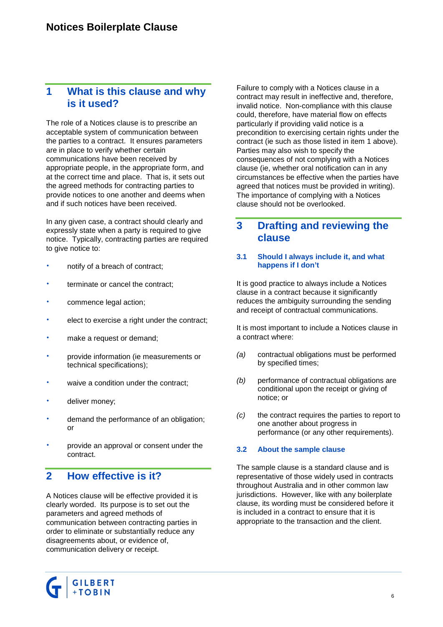### **1 What is this clause and why is it used?**

The role of a Notices clause is to prescribe an acceptable system of communication between the parties to a contract. It ensures parameters are in place to verify whether certain communications have been received by appropriate people, in the appropriate form, and at the correct time and place. That is, it sets out the agreed methods for contracting parties to provide notices to one another and deems when and if such notices have been received.

In any given case, a contract should clearly and expressly state when a party is required to give notice. Typically, contracting parties are required to give notice to:

- notify of a breach of contract;
- terminate or cancel the contract;
- commence legal action;
- elect to exercise a right under the contract;
- make a request or demand;
- provide information (ie measurements or technical specifications);
- waive a condition under the contract;
- deliver money;
- demand the performance of an obligation; or
- provide an approval or consent under the contract.

### **2 How effective is it?**

A Notices clause will be effective provided it is clearly worded. Its purpose is to set out the parameters and agreed methods of communication between contracting parties in order to eliminate or substantially reduce any disagreements about, or evidence of, communication delivery or receipt.

Failure to comply with a Notices clause in a contract may result in ineffective and, therefore, invalid notice. Non-compliance with this clause could, therefore, have material flow on effects particularly if providing valid notice is a precondition to exercising certain rights under the contract (ie such as those listed in item 1 above). Parties may also wish to specify the consequences of not complying with a Notices clause (ie, whether oral notification can in any circumstances be effective when the parties have agreed that notices must be provided in writing). The importance of complying with a Notices clause should not be overlooked.

### **3 Drafting and reviewing the clause**

### **3.1 Should I always include it, and what happens if I don't**

It is good practice to always include a Notices clause in a contract because it significantly reduces the ambiguity surrounding the sending and receipt of contractual communications.

It is most important to include a Notices clause in a contract where:

- *(a)* contractual obligations must be performed by specified times;
- *(b)* performance of contractual obligations are conditional upon the receipt or giving of notice; or
- *(c)* the contract requires the parties to report to one another about progress in performance (or any other requirements).

### **3.2 About the sample clause**

The sample clause is a standard clause and is representative of those widely used in contracts throughout Australia and in other common law jurisdictions. However, like with any boilerplate clause, its wording must be considered before it is included in a contract to ensure that it is appropriate to the transaction and the client.